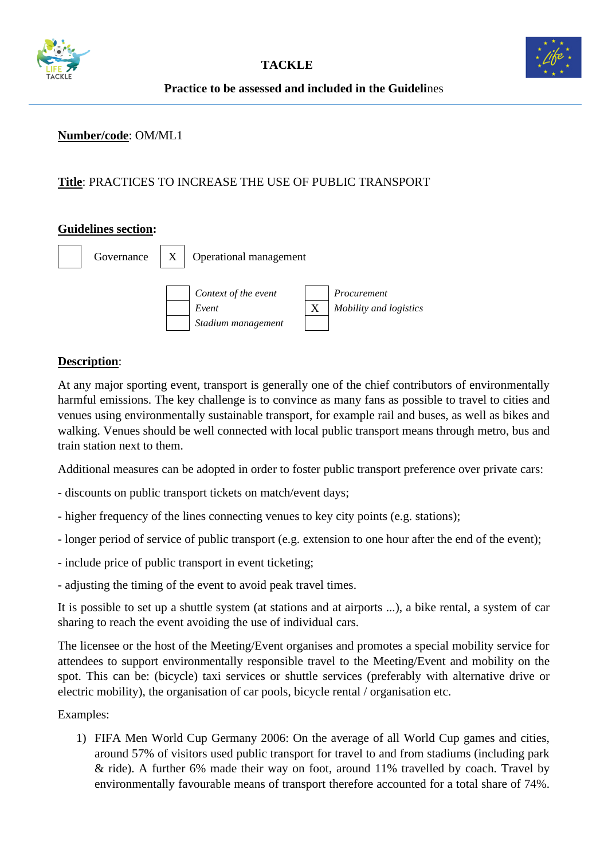



## **Number/code**: OM/ML1

# **Title**: PRACTICES TO INCREASE THE USE OF PUBLIC TRANSPORT

#### **Guidelines section:**



## **Description**:

At any major sporting event, transport is generally one of the chief contributors of environmentally harmful emissions. The key challenge is to convince as many fans as possible to travel to cities and venues using environmentally sustainable transport, for example rail and buses, as well as bikes and walking. Venues should be well connected with local public transport means through metro, bus and train station next to them.

Additional measures can be adopted in order to foster public transport preference over private cars:

- discounts on public transport tickets on match/event days;
- higher frequency of the lines connecting venues to key city points (e.g. stations);
- longer period of service of public transport (e.g. extension to one hour after the end of the event);
- include price of public transport in event ticketing;
- adjusting the timing of the event to avoid peak travel times.

It is possible to set up a shuttle system (at stations and at airports ...), a bike rental, a system of car sharing to reach the event avoiding the use of individual cars.

The licensee or the host of the Meeting/Event organises and promotes a special mobility service for attendees to support environmentally responsible travel to the Meeting/Event and mobility on the spot. This can be: (bicycle) taxi services or shuttle services (preferably with alternative drive or electric mobility), the organisation of car pools, bicycle rental / organisation etc.

Examples:

1) FIFA Men World Cup Germany 2006: On the average of all World Cup games and cities, around 57% of visitors used public transport for travel to and from stadiums (including park & ride). A further 6% made their way on foot, around 11% travelled by coach. Travel by environmentally favourable means of transport therefore accounted for a total share of 74%.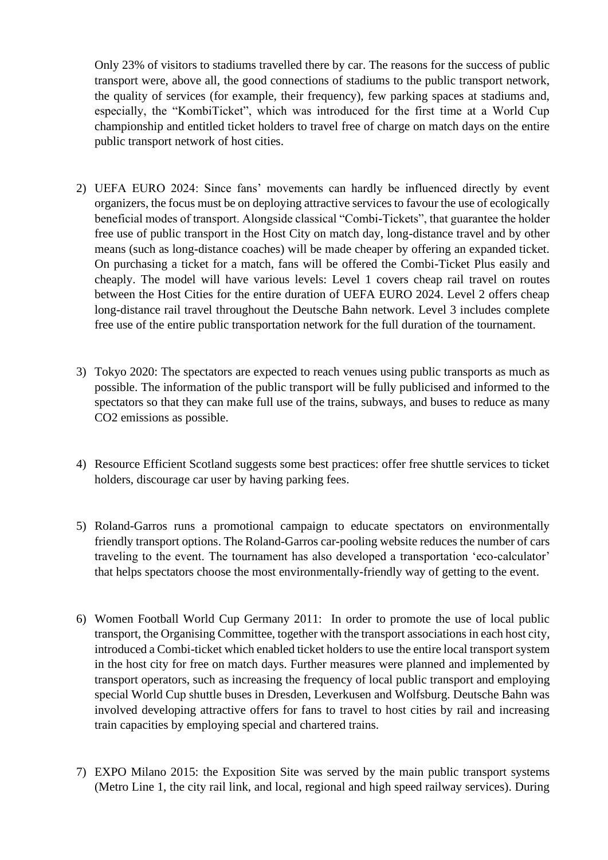Only 23% of visitors to stadiums travelled there by car. The reasons for the success of public transport were, above all, the good connections of stadiums to the public transport network, the quality of services (for example, their frequency), few parking spaces at stadiums and, especially, the "KombiTicket", which was introduced for the first time at a World Cup championship and entitled ticket holders to travel free of charge on match days on the entire public transport network of host cities.

- 2) UEFA EURO 2024: Since fans' movements can hardly be influenced directly by event organizers, the focus must be on deploying attractive services to favour the use of ecologically beneficial modes of transport. Alongside classical "Combi-Tickets", that guarantee the holder free use of public transport in the Host City on match day, long-distance travel and by other means (such as long-distance coaches) will be made cheaper by offering an expanded ticket. On purchasing a ticket for a match, fans will be offered the Combi-Ticket Plus easily and cheaply. The model will have various levels: Level 1 covers cheap rail travel on routes between the Host Cities for the entire duration of UEFA EURO 2024. Level 2 offers cheap long-distance rail travel throughout the Deutsche Bahn network. Level 3 includes complete free use of the entire public transportation network for the full duration of the tournament.
- 3) Tokyo 2020: The spectators are expected to reach venues using public transports as much as possible. The information of the public transport will be fully publicised and informed to the spectators so that they can make full use of the trains, subways, and buses to reduce as many CO2 emissions as possible.
- 4) Resource Efficient Scotland suggests some best practices: offer free shuttle services to ticket holders, discourage car user by having parking fees.
- 5) Roland-Garros runs a promotional campaign to educate spectators on environmentally friendly transport options. The Roland-Garros car-pooling website reduces the number of cars traveling to the event. The tournament has also developed a transportation 'eco-calculator' that helps spectators choose the most environmentally-friendly way of getting to the event.
- 6) Women Football World Cup Germany 2011: In order to promote the use of local public transport, the Organising Committee, together with the transport associations in each host city, introduced a Combi-ticket which enabled ticket holders to use the entire local transport system in the host city for free on match days. Further measures were planned and implemented by transport operators, such as increasing the frequency of local public transport and employing special World Cup shuttle buses in Dresden, Leverkusen and Wolfsburg. Deutsche Bahn was involved developing attractive offers for fans to travel to host cities by rail and increasing train capacities by employing special and chartered trains.
- 7) EXPO Milano 2015: the Exposition Site was served by the main public transport systems (Metro Line 1, the city rail link, and local, regional and high speed railway services). During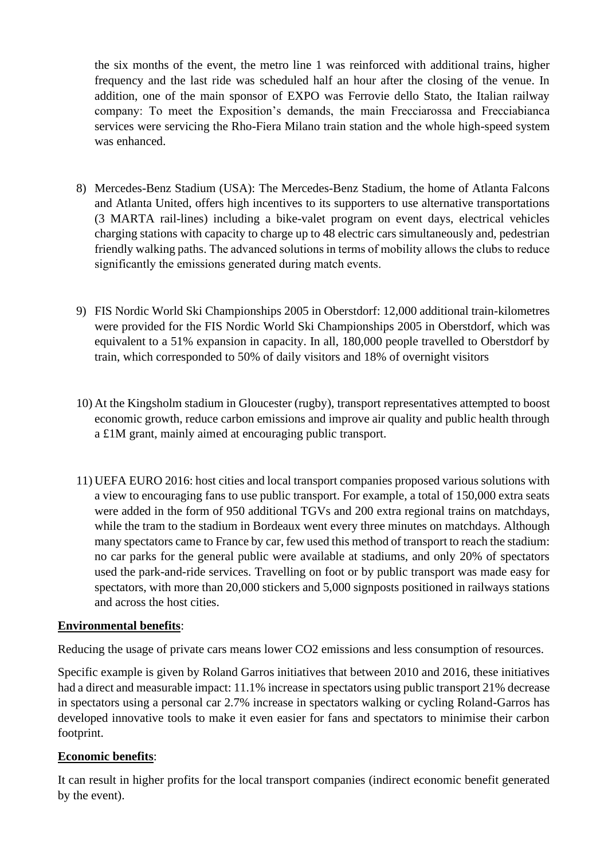the six months of the event, the metro line 1 was reinforced with additional trains, higher frequency and the last ride was scheduled half an hour after the closing of the venue. In addition, one of the main sponsor of EXPO was Ferrovie dello Stato, the Italian railway company: To meet the Exposition's demands, the main Frecciarossa and Frecciabianca services were servicing the Rho-Fiera Milano train station and the whole high-speed system was enhanced.

- 8) Mercedes-Benz Stadium (USA): The Mercedes-Benz Stadium, the home of Atlanta Falcons and Atlanta United, offers high incentives to its supporters to use alternative transportations (3 MARTA rail-lines) including a bike-valet program on event days, electrical vehicles charging stations with capacity to charge up to 48 electric cars simultaneously and, pedestrian friendly walking paths. The advanced solutions in terms of mobility allows the clubs to reduce significantly the emissions generated during match events.
- 9) FIS Nordic World Ski Championships 2005 in Oberstdorf: 12,000 additional train-kilometres were provided for the FIS Nordic World Ski Championships 2005 in Oberstdorf, which was equivalent to a 51% expansion in capacity. In all, 180,000 people travelled to Oberstdorf by train, which corresponded to 50% of daily visitors and 18% of overnight visitors
- 10) At the Kingsholm stadium in Gloucester (rugby), transport representatives attempted to boost economic growth, reduce carbon emissions and improve air quality and public health through a £1M grant, mainly aimed at encouraging public transport.
- 11) UEFA EURO 2016: host cities and local transport companies proposed various solutions with a view to encouraging fans to use public transport. For example, a total of 150,000 extra seats were added in the form of 950 additional TGVs and 200 extra regional trains on matchdays, while the tram to the stadium in Bordeaux went every three minutes on matchdays. Although many spectators came to France by car, few used this method of transport to reach the stadium: no car parks for the general public were available at stadiums, and only 20% of spectators used the park-and-ride services. Travelling on foot or by public transport was made easy for spectators, with more than 20,000 stickers and 5,000 signposts positioned in railways stations and across the host cities.

#### **Environmental benefits**:

Reducing the usage of private cars means lower CO2 emissions and less consumption of resources.

Specific example is given by Roland Garros initiatives that between 2010 and 2016, these initiatives had a direct and measurable impact: 11.1% increase in spectators using public transport 21% decrease in spectators using a personal car 2.7% increase in spectators walking or cycling Roland-Garros has developed innovative tools to make it even easier for fans and spectators to minimise their carbon footprint.

# **Economic benefits**:

It can result in higher profits for the local transport companies (indirect economic benefit generated by the event).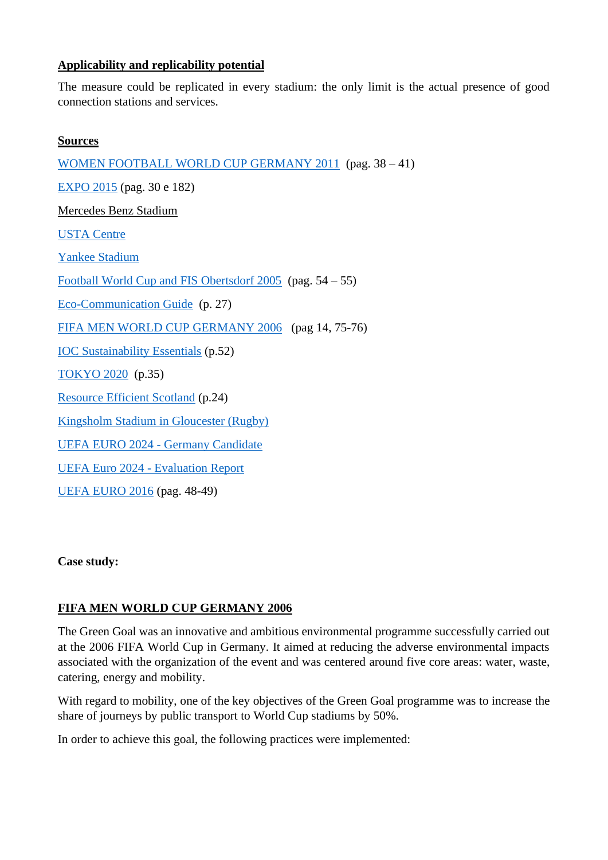#### **Applicability and replicability potential**

The measure could be replicated in every stadium: the only limit is the actual presence of good connection stations and services.

#### **Sources**

[WOMEN FOOTBALL WORLD CUP GERMANY 2011](https://www.fifa.com/mm/document/afsocial/environment/01/57/12/83/fwwc2011green_goal_legacy_report_en.pdf) (pag. 38 – 41) [EXPO 2015](http://www.expo2015.org/archive/cs/Expo/1392234204291/EXPO_Report_Sustainability_ING_rev2015.pdf%3Bfilename_%3DUTF-8%27%27EXPO_Report_Sustainability_ING_rev2015.pdf) (pag. 30 e 182) [Mercedes Benz Stadium](https://www.hok.com/about/news/2017/11/15/mercedes-benz-stadium-becomes-first-professional-sports-stadium-to-receive-leed-platinum-certification/) [USTA Centre](https://www.usopen.org/en_US/about/green_initiatives.html) [Yankee Stadium](https://www.mlb.com/yankees/ballpark/information/sustainability-initiatives) [Football World Cup and FIS Obertsdorf 2005](https://www.oeko.de/uploads/oeko/aktuelles/greenchampions_guide.pdf) (pag. 54 – 55) [Eco-Communication Guide](http://developpement-durable.sports.gouv.fr/m/ressources/details/eco-communication-vers-une-communication-plus-eco-responsable/225) (p. 27) [FIFA MEN WORLD CUP GERMANY 2006](https://www.oeko.de/oekodoc/292/2006-011-en.pdf) (pag 14, 75-76) [IOC Sustainability Essentials](https://stillmed.olympic.org/media/Document%20Library/OlympicOrg/IOC/What-We-Do/celebrate-olympic-games/Sustainability/sustainability-essentials/IOC-Sustain-Essentials_v7.pdf#_ga=2.214425687.1946374058.1539848064-911789952.1539848064) (p.52) [TOKYO 2020](https://tokyo2020.org/en/games/sustainability/sus-plan/data/20180611-sus-plan-2_EN.pdf) (p.35) [Resource Efficient Scotland](https://www.resourceefficientscotland.com/sites/default/files/How%20to%20plan%20&%20deliver%20environmentally%20sustainable%20events.pdf) (p.24) [Kingsholm Stadium in Gloucester \(Rugby\)](https://www.edie.net/library/Tonga-s-plight-and-thousands-of-kettles--the-green-facts-surrounding-the-2015-Rugby-World-Cup/6655) [UEFA EURO 2024](https://www.dfb.de/fileadmin/_dfbdam/178855-EURO_2024_Nachhaltigkeitskonzept.pdf) - Germany Candidate [UEFA Euro 2024 -](https://www.uefa.com/MultimediaFiles/Download/OfficialDocument/competitions/General/02/57/28/19/2572819_DOWNLOAD.pdf) Evaluation Report [UEFA EURO 2016](https://www.uefa.com/MultimediaFiles/Download/OfficialDocument/uefaorg/General/02/42/47/58/2424758_DOWNLOAD.pdf) (pag. 48-49)

**Case study:** 

# **[FIFA MEN WORLD CUP GERMANY 2006](https://www.oeko.de/oekodoc/292/2006-011-en.pdf)**

The Green Goal was an innovative and ambitious environmental programme successfully carried out at the 2006 FIFA World Cup in Germany. It aimed at reducing the adverse environmental impacts associated with the organization of the event and was centered around five core areas: water, waste, catering, energy and mobility.

With regard to mobility, one of the key objectives of the Green Goal programme was to increase the share of journeys by public transport to World Cup stadiums by 50%.

In order to achieve this goal, the following practices were implemented: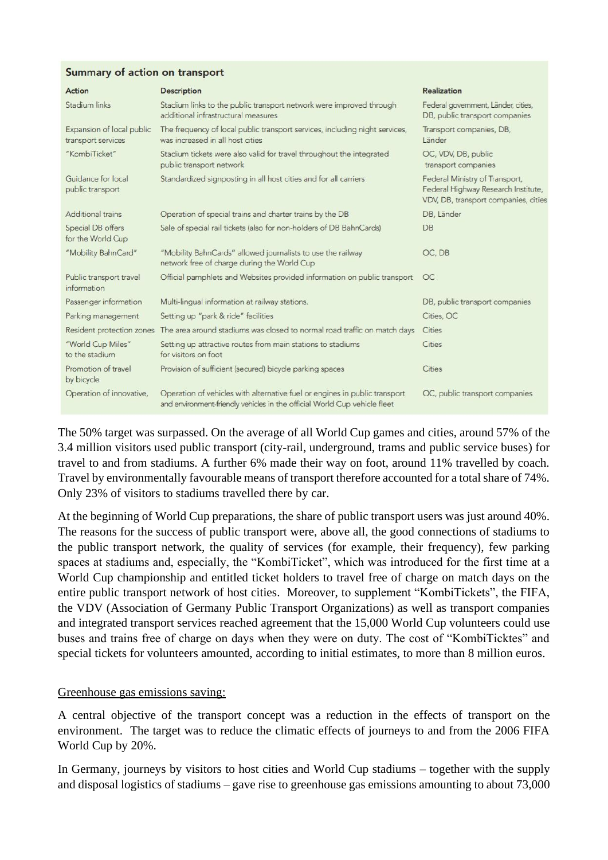#### Summary of action on transport

| Action                                          | <b>Description</b>                                                                                                                                      | <b>Realization</b>                                                                                            |
|-------------------------------------------------|---------------------------------------------------------------------------------------------------------------------------------------------------------|---------------------------------------------------------------------------------------------------------------|
| Stadium links                                   | Stadium links to the public transport network were improved through<br>additional infrastructural measures                                              | Federal government, Länder, cities,<br>DB, public transport companies                                         |
| Expansion of local public<br>transport services | The frequency of local public transport services, including night services,<br>was increased in all host cities                                         | Transport companies, DB,<br>Länder                                                                            |
| "KombiTicket"                                   | Stadium tickets were also valid for travel throughout the integrated<br>public transport network                                                        | OC, VDV, DB, public<br>transport companies                                                                    |
| Guidance for local<br>public transport          | Standardized signposting in all host cities and for all carriers                                                                                        | Federal Ministry of Transport,<br>Federal Highway Research Institute,<br>VDV, DB, transport companies, cities |
| <b>Additional trains</b>                        | Operation of special trains and charter trains by the DB                                                                                                | DB, Länder                                                                                                    |
| Special DB offers<br>for the World Cup          | Sale of special rail tickets (also for non-holders of DB BahnCards)                                                                                     | DB                                                                                                            |
| "Mobility BahnCard"                             | "Mobility BahnCards" allowed journalists to use the railway<br>network free of charge during the World Cup                                              | OC, DB                                                                                                        |
| Public transport travel<br>information          | Official pamphlets and Websites provided information on public transport                                                                                | OC                                                                                                            |
| Passenger information                           | Multi-lingual information at railway stations.                                                                                                          | DB, public transport companies                                                                                |
| Parking management                              | Setting up "park & ride" facilities                                                                                                                     | Cities, OC                                                                                                    |
| Resident protection zones                       | The area around stadiums was closed to normal road traffic on match days                                                                                | Cities                                                                                                        |
| "World Cup Miles"<br>to the stadium             | Setting up attractive routes from main stations to stadiums<br>for visitors on foot                                                                     | Cities                                                                                                        |
| Promotion of travel<br>by bicycle               | Provision of sufficient (secured) bicycle parking spaces                                                                                                | Cities                                                                                                        |
| Operation of innovative,                        | Operation of vehicles with alternative fuel or engines in public transport<br>and environment-friendly vehicles in the official World Cup vehicle fleet | OC, public transport companies                                                                                |

The 50% target was surpassed. On the average of all World Cup games and cities, around 57% of the 3.4 million visitors used public transport (city-rail, underground, trams and public service buses) for travel to and from stadiums. A further 6% made their way on foot, around 11% travelled by coach. Travel by environmentally favourable means of transport therefore accounted for a total share of 74%. Only 23% of visitors to stadiums travelled there by car.

At the beginning of World Cup preparations, the share of public transport users was just around 40%. The reasons for the success of public transport were, above all, the good connections of stadiums to the public transport network, the quality of services (for example, their frequency), few parking spaces at stadiums and, especially, the "KombiTicket", which was introduced for the first time at a World Cup championship and entitled ticket holders to travel free of charge on match days on the entire public transport network of host cities. Moreover, to supplement "KombiTickets", the FIFA, the VDV (Association of Germany Public Transport Organizations) as well as transport companies and integrated transport services reached agreement that the 15,000 World Cup volunteers could use buses and trains free of charge on days when they were on duty. The cost of "KombiTicktes" and special tickets for volunteers amounted, according to initial estimates, to more than 8 million euros.

#### Greenhouse gas emissions saving:

A central objective of the transport concept was a reduction in the effects of transport on the environment. The target was to reduce the climatic effects of journeys to and from the 2006 FIFA World Cup by 20%.

In Germany, journeys by visitors to host cities and World Cup stadiums – together with the supply and disposal logistics of stadiums – gave rise to greenhouse gas emissions amounting to about 73,000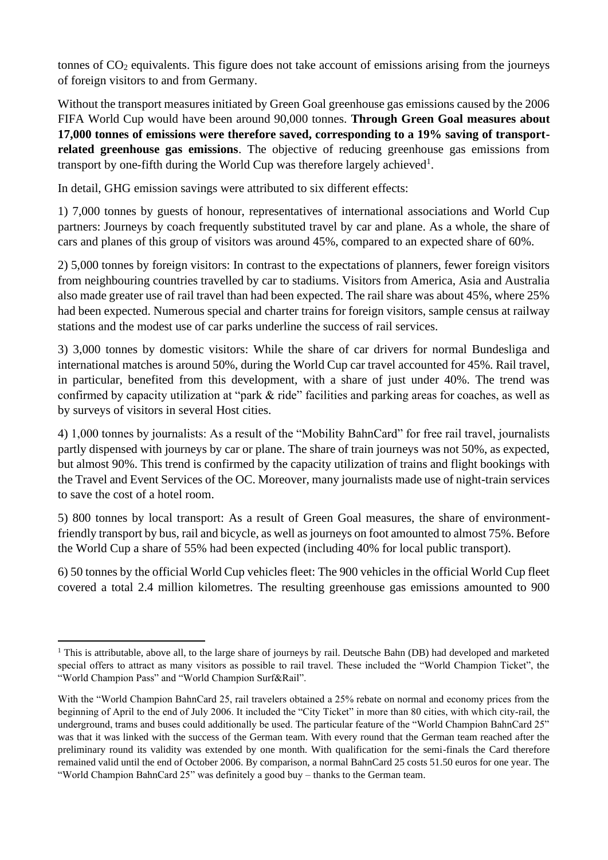tonnes of  $CO<sub>2</sub>$  equivalents. This figure does not take account of emissions arising from the journeys of foreign visitors to and from Germany.

Without the transport measures initiated by Green Goal greenhouse gas emissions caused by the 2006 FIFA World Cup would have been around 90,000 tonnes. **Through Green Goal measures about 17,000 tonnes of emissions were therefore saved, corresponding to a 19% saving of transportrelated greenhouse gas emissions**. The objective of reducing greenhouse gas emissions from transport by one-fifth during the World Cup was therefore largely achieved<sup>1</sup>.

In detail, GHG emission savings were attributed to six different effects:

1) 7,000 tonnes by guests of honour, representatives of international associations and World Cup partners: Journeys by coach frequently substituted travel by car and plane. As a whole, the share of cars and planes of this group of visitors was around 45%, compared to an expected share of 60%.

2) 5,000 tonnes by foreign visitors: In contrast to the expectations of planners, fewer foreign visitors from neighbouring countries travelled by car to stadiums. Visitors from America, Asia and Australia also made greater use of rail travel than had been expected. The rail share was about 45%, where 25% had been expected. Numerous special and charter trains for foreign visitors, sample census at railway stations and the modest use of car parks underline the success of rail services.

3) 3,000 tonnes by domestic visitors: While the share of car drivers for normal Bundesliga and international matches is around 50%, during the World Cup car travel accounted for 45%. Rail travel, in particular, benefited from this development, with a share of just under 40%. The trend was confirmed by capacity utilization at "park & ride" facilities and parking areas for coaches, as well as by surveys of visitors in several Host cities.

4) 1,000 tonnes by journalists: As a result of the "Mobility BahnCard" for free rail travel, journalists partly dispensed with journeys by car or plane. The share of train journeys was not 50%, as expected, but almost 90%. This trend is confirmed by the capacity utilization of trains and flight bookings with the Travel and Event Services of the OC. Moreover, many journalists made use of night-train services to save the cost of a hotel room.

5) 800 tonnes by local transport: As a result of Green Goal measures, the share of environmentfriendly transport by bus, rail and bicycle, as well as journeys on foot amounted to almost 75%. Before the World Cup a share of 55% had been expected (including 40% for local public transport).

6) 50 tonnes by the official World Cup vehicles fleet: The 900 vehicles in the official World Cup fleet covered a total 2.4 million kilometres. The resulting greenhouse gas emissions amounted to 900

<sup>&</sup>lt;sup>1</sup> This is attributable, above all, to the large share of journeys by rail. Deutsche Bahn (DB) had developed and marketed special offers to attract as many visitors as possible to rail travel. These included the "World Champion Ticket", the "World Champion Pass" and "World Champion Surf&Rail".

With the "World Champion BahnCard 25, rail travelers obtained a 25% rebate on normal and economy prices from the beginning of April to the end of July 2006. It included the "City Ticket" in more than 80 cities, with which city-rail, the underground, trams and buses could additionally be used. The particular feature of the "World Champion BahnCard 25" was that it was linked with the success of the German team. With every round that the German team reached after the preliminary round its validity was extended by one month. With qualification for the semi-finals the Card therefore remained valid until the end of October 2006. By comparison, a normal BahnCard 25 costs 51.50 euros for one year. The "World Champion BahnCard 25" was definitely a good buy – thanks to the German team.